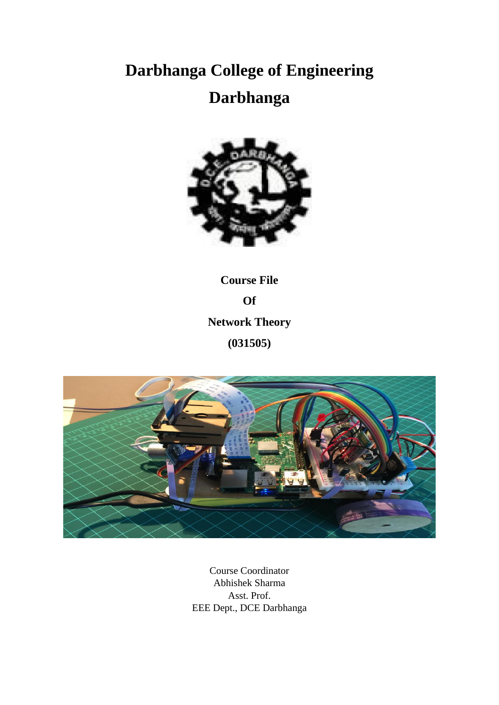# **Darbhanga College of Engineering Darbhanga**



**Course File Of Network Theory (031505)**



Course Coordinator Abhishek Sharma Asst. Prof. EEE Dept., DCE Darbhanga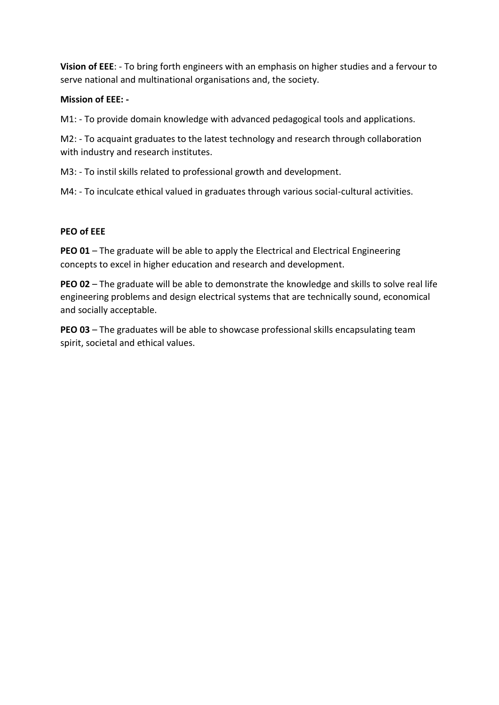**Vision of EEE**: - To bring forth engineers with an emphasis on higher studies and a fervour to serve national and multinational organisations and, the society.

## **Mission of EEE: -**

M1: - To provide domain knowledge with advanced pedagogical tools and applications.

M2: - To acquaint graduates to the latest technology and research through collaboration with industry and research institutes.

M3: - To instil skills related to professional growth and development.

M4: - To inculcate ethical valued in graduates through various social-cultural activities.

### **PEO of EEE**

**PEO 01** – The graduate will be able to apply the Electrical and Electrical Engineering concepts to excel in higher education and research and development.

**PEO 02** – The graduate will be able to demonstrate the knowledge and skills to solve real life engineering problems and design electrical systems that are technically sound, economical and socially acceptable.

**PEO 03** – The graduates will be able to showcase professional skills encapsulating team spirit, societal and ethical values.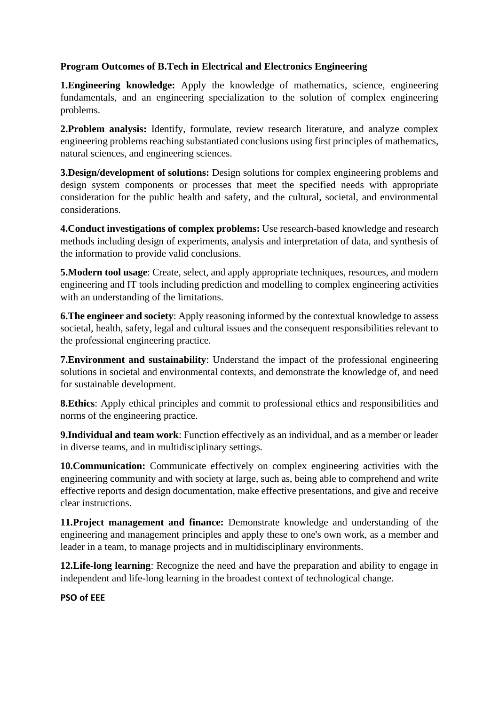# **Program Outcomes of B.Tech in Electrical and Electronics Engineering**

**1.Engineering knowledge:** Apply the knowledge of mathematics, science, engineering fundamentals, and an engineering specialization to the solution of complex engineering problems.

**2.Problem analysis:** Identify, formulate, review research literature, and analyze complex engineering problems reaching substantiated conclusions using first principles of mathematics, natural sciences, and engineering sciences.

**3.Design/development of solutions:** Design solutions for complex engineering problems and design system components or processes that meet the specified needs with appropriate consideration for the public health and safety, and the cultural, societal, and environmental considerations.

**4.Conduct investigations of complex problems:** Use research-based knowledge and research methods including design of experiments, analysis and interpretation of data, and synthesis of the information to provide valid conclusions.

**5. Modern tool usage**: Create, select, and apply appropriate techniques, resources, and modern engineering and IT tools including prediction and modelling to complex engineering activities with an understanding of the limitations.

**6. The engineer and society:** Apply reasoning informed by the contextual knowledge to assess societal, health, safety, legal and cultural issues and the consequent responsibilities relevant to the professional engineering practice.

**7.Environment and sustainability**: Understand the impact of the professional engineering solutions in societal and environmental contexts, and demonstrate the knowledge of, and need for sustainable development.

**8.Ethics**: Apply ethical principles and commit to professional ethics and responsibilities and norms of the engineering practice.

**9.Individual and team work**: Function effectively as an individual, and as a member or leader in diverse teams, and in multidisciplinary settings.

**10.Communication:** Communicate effectively on complex engineering activities with the engineering community and with society at large, such as, being able to comprehend and write effective reports and design documentation, make effective presentations, and give and receive clear instructions.

**11.Project management and finance:** Demonstrate knowledge and understanding of the engineering and management principles and apply these to one's own work, as a member and leader in a team, to manage projects and in multidisciplinary environments.

**12.Life-long learning**: Recognize the need and have the preparation and ability to engage in independent and life-long learning in the broadest context of technological change.

**PSO of EEE**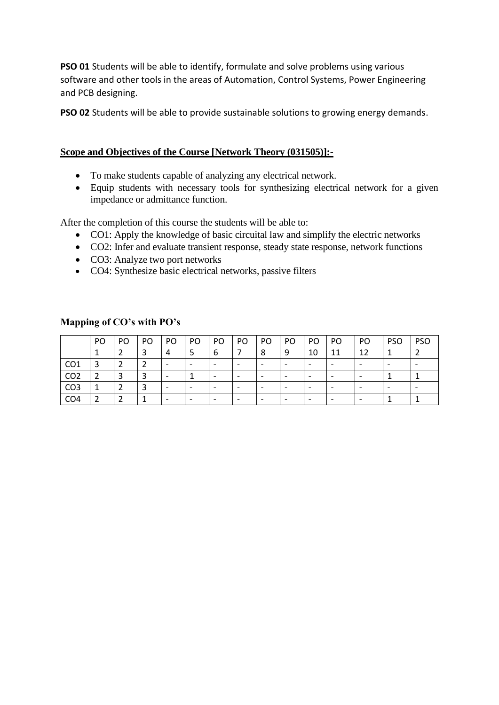**PSO 01** Students will be able to identify, formulate and solve problems using various software and other tools in the areas of Automation, Control Systems, Power Engineering and PCB designing.

**PSO 02** Students will be able to provide sustainable solutions to growing energy demands.

# **Scope and Objectives of the Course [Network Theory (031505)]:-**

- To make students capable of analyzing any electrical network.
- Equip students with necessary tools for synthesizing electrical network for a given impedance or admittance function.

After the completion of this course the students will be able to:

- CO1: Apply the knowledge of basic circuital law and simplify the electric networks
- CO2: Infer and evaluate transient response, steady state response, network functions
- CO3: Analyze two port networks
- CO4: Synthesize basic electrical networks, passive filters

|                 | PO | PO | PO. | PO. | PO                       | PO.                      | PO                       | PO | PO                       | PO.                      | PO | PO                       | <b>PSO</b> | <b>PSO</b>               |
|-----------------|----|----|-----|-----|--------------------------|--------------------------|--------------------------|----|--------------------------|--------------------------|----|--------------------------|------------|--------------------------|
|                 |    |    |     | 4   |                          | 6                        |                          | 8  | 9                        | 10                       | 11 | 12                       |            |                          |
| CO <sub>1</sub> | 3  |    |     |     |                          | $\overline{\phantom{a}}$ | $\overline{\phantom{0}}$ |    | $\overline{\phantom{0}}$ | $\overline{\phantom{0}}$ |    |                          |            | $\overline{\phantom{0}}$ |
| CO <sub>2</sub> |    |    |     |     |                          | $\overline{\phantom{a}}$ | $\overline{\phantom{0}}$ |    | $\overline{\phantom{0}}$ | $\overline{\phantom{0}}$ |    | $\overline{\phantom{0}}$ |            |                          |
| CO <sub>3</sub> |    |    |     |     |                          |                          |                          |    | $\overline{\phantom{0}}$ | $\overline{\phantom{0}}$ |    | $\overline{\phantom{0}}$ |            | $\overline{\phantom{0}}$ |
| CO <sub>4</sub> | ີ  |    |     |     | $\overline{\phantom{0}}$ | $\overline{\phantom{a}}$ | $\overline{\phantom{0}}$ |    |                          | $\overline{\phantom{0}}$ |    | $\overline{\phantom{0}}$ |            |                          |

### **Mapping of CO's with PO's**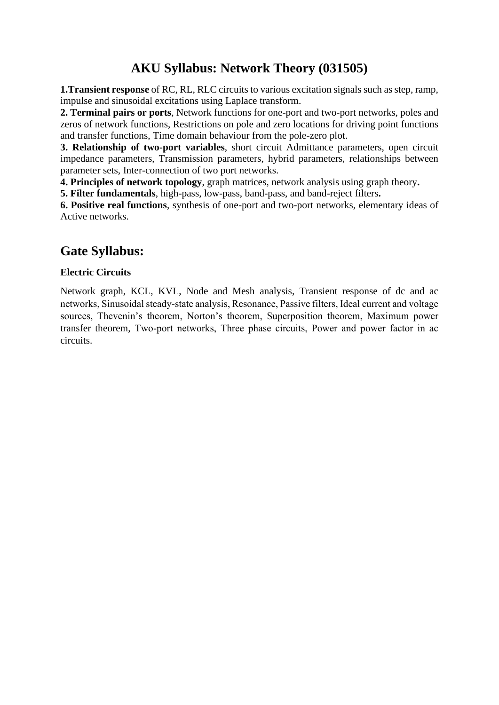# **AKU Syllabus: Network Theory (031505)**

**1.Transient response** of RC, RL, RLC circuits to various excitation signals such as step, ramp, impulse and sinusoidal excitations using Laplace transform.

**2. Terminal pairs or ports**, Network functions for one-port and two-port networks, poles and zeros of network functions, Restrictions on pole and zero locations for driving point functions and transfer functions, Time domain behaviour from the pole-zero plot.

**3. Relationship of two-port variables**, short circuit Admittance parameters, open circuit impedance parameters, Transmission parameters, hybrid parameters, relationships between parameter sets, Inter-connection of two port networks.

**4. Principles of network topology**, graph matrices, network analysis using graph theory**.**

**5. Filter fundamentals**, high-pass, low-pass, band-pass, and band-reject filters**.** 

**6. Positive real functions**, synthesis of one-port and two-port networks, elementary ideas of Active networks.

# **Gate Syllabus:**

## **Electric Circuits**

Network graph, KCL, KVL, Node and Mesh analysis, Transient response of dc and ac networks, Sinusoidal steady‐state analysis, Resonance, Passive filters, Ideal current and voltage sources, Thevenin's theorem, Norton's theorem, Superposition theorem, Maximum power transfer theorem, Two‐port networks, Three phase circuits, Power and power factor in ac circuits.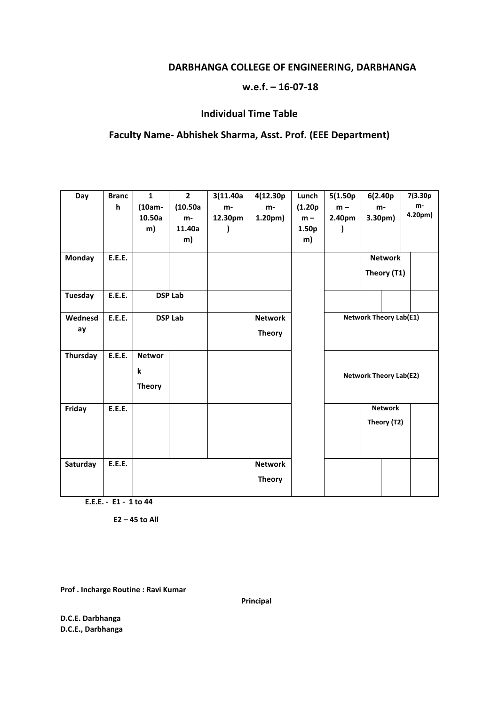# **DARBHANGA COLLEGE OF ENGINEERING, DARBHANGA**

### **w.e.f. – 16-07-18**

## **Individual Time Table**

# **Faculty Name- Abhishek Sharma, Asst. Prof. (EEE Department)**

| Day            | <b>Branc</b><br>h | $\mathbf{1}$<br>(10am-<br>10.50a<br>m) | $\overline{2}$<br>(10.50a)<br>m-<br>11.40a<br>m) | 3(11.40a)<br>m-<br>12.30pm | 4(12.30p<br>m-<br>1.20 <sub>pm</sub> | Lunch<br>(1.20p)<br>$m -$<br>1.50 <sub>p</sub><br>m) | 5(1.50p)<br>$m -$<br>2.40pm | 6(2.40p<br>m-<br>3.30 <sub>pm</sub> |                               | 7(3.30p<br>m-<br>4.20pm) |
|----------------|-------------------|----------------------------------------|--------------------------------------------------|----------------------------|--------------------------------------|------------------------------------------------------|-----------------------------|-------------------------------------|-------------------------------|--------------------------|
| <b>Monday</b>  | <b>E.E.E.</b>     |                                        |                                                  |                            |                                      |                                                      |                             |                                     | <b>Network</b><br>Theory (T1) |                          |
| <b>Tuesday</b> | <b>E.E.E.</b>     |                                        | <b>DSP Lab</b>                                   |                            |                                      |                                                      |                             |                                     |                               |                          |
| Wednesd<br>ay  | <b>E.E.E.</b>     |                                        | <b>DSP Lab</b>                                   |                            | <b>Network</b><br><b>Theory</b>      |                                                      |                             | <b>Network Theory Lab(E1)</b>       |                               |                          |
| Thursday       | <b>E.E.E.</b>     | <b>Networ</b><br>k<br><b>Theory</b>    |                                                  |                            |                                      |                                                      |                             | <b>Network Theory Lab(E2)</b>       |                               |                          |
| Friday         | <b>E.E.E.</b>     |                                        |                                                  |                            |                                      |                                                      |                             |                                     | <b>Network</b><br>Theory (T2) |                          |
| Saturday       | <b>E.E.E.</b>     |                                        |                                                  |                            | <b>Network</b><br><b>Theory</b>      |                                                      |                             |                                     |                               |                          |

 **E.E.E. - E1 - 1 to 44** 

 **E2 – 45 to All** 

**Prof . Incharge Routine : Ravi Kumar**

**Principal** 

**D.C.E. Darbhanga D.C.E., Darbhanga**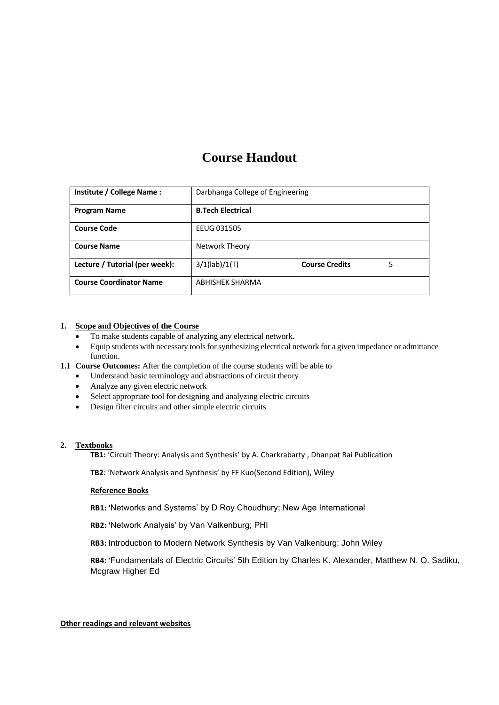# **Course Handout**

| Institute / College Name:      | Darbhanga College of Engineering |                       |   |  |
|--------------------------------|----------------------------------|-----------------------|---|--|
| <b>Program Name</b>            | <b>B.Tech Electrical</b>         |                       |   |  |
| <b>Course Code</b>             | EEUG 031505                      |                       |   |  |
| <b>Course Name</b>             | Network Theory                   |                       |   |  |
| Lecture / Tutorial (per week): | $3/1$ (lab)/ $1(T)$              | <b>Course Credits</b> | 5 |  |
| <b>Course Coordinator Name</b> | <b>ABHISHEK SHARMA</b>           |                       |   |  |

#### **1. Scope and Objectives of the Course**

- To make students capable of analyzing any electrical network.
- Equip students with necessary tools for synthesizing electrical network for a given impedance or admittance function.

#### **1.1 Course Outcomes:** After the completion of the course students will be able to

- Understand basic terminology and abstractions of circuit theory
- Analyze any given electric network
- Select appropriate tool for designing and analyzing electric circuits
- Design filter circuits and other simple electric circuits

#### **2. Textbooks**

**TB1:** 'Circuit Theory: Analysis and Synthesis' by A. Charkrabarty , Dhanpat Rai Publication

**TB2**: 'Network Analysis and Synthesis' by FF Kuo(Second Edition), Wiley

#### **Reference Books**

**RB1: '**Networks and Systems' by D Roy Choudhury; New Age International

**RB2: '**Network Analysis' by Van Valkenburg; PHI

**RB3:** Introduction to Modern Network Synthesis by Van Valkenburg; John Wiley

**RB4:** 'Fundamentals of Electric Circuits' 5th Edition by Charles K. Alexander, Matthew N. O. Sadiku, Mcgraw Higher Ed

**Other readings and relevant websites**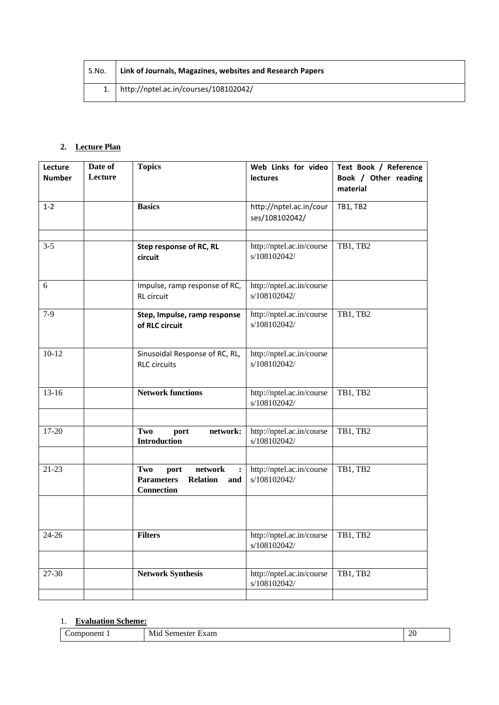| S.No. | Link of Journals, Magazines, websites and Research Papers |
|-------|-----------------------------------------------------------|
|       | http://nptel.ac.in/courses/108102042/                     |

# **2. Lecture Plan**

| Lecture<br><b>Number</b> | Date of<br>Lecture | <b>Topics</b>                                                                              | Web Links for video<br><b>lectures</b>    | Text Book / Reference<br>Book / Other reading<br>material |
|--------------------------|--------------------|--------------------------------------------------------------------------------------------|-------------------------------------------|-----------------------------------------------------------|
| $1 - 2$                  |                    | <b>Basics</b>                                                                              | http://nptel.ac.in/cour<br>ses/108102042/ | <b>TB1, TB2</b>                                           |
|                          |                    |                                                                                            |                                           |                                                           |
| $3 - 5$                  |                    | Step response of RC, RL<br>circuit                                                         | http://nptel.ac.in/course<br>s/108102042/ | TB1, TB2                                                  |
| 6                        |                    | Impulse, ramp response of RC,<br><b>RL</b> circuit                                         | http://nptel.ac.in/course<br>s/108102042/ |                                                           |
| $7-9$                    |                    | Step, Impulse, ramp response<br>of RLC circuit                                             | http://nptel.ac.in/course<br>s/108102042/ | TB1, TB2                                                  |
| $10 - 12$                |                    | Sinusoidal Response of RC, RL,<br><b>RLC</b> circuits                                      | http://nptel.ac.in/course<br>s/108102042/ |                                                           |
| $13 - 16$                |                    | <b>Network functions</b>                                                                   | http://nptel.ac.in/course<br>s/108102042/ | TB1, TB2                                                  |
|                          |                    |                                                                                            |                                           |                                                           |
| 17-20                    |                    | Two<br>network:<br>port<br><b>Introduction</b>                                             | http://nptel.ac.in/course<br>s/108102042/ | TB1, TB2                                                  |
|                          |                    |                                                                                            |                                           |                                                           |
| $21-23$                  |                    | network<br>Two<br>port<br><b>Parameters</b><br><b>Relation</b><br>and<br><b>Connection</b> | http://nptel.ac.in/course<br>s/108102042/ | TB1, TB2                                                  |
|                          |                    |                                                                                            |                                           |                                                           |
| $24 - 26$                |                    | <b>Filters</b>                                                                             | http://nptel.ac.in/course<br>s/108102042/ | TB1, TB2                                                  |
|                          |                    |                                                                                            |                                           |                                                           |
| 27-30                    |                    | <b>Network Synthesis</b>                                                                   | http://nptel.ac.in/course<br>s/108102042/ | TB1, TB2                                                  |
|                          |                    |                                                                                            |                                           |                                                           |

# 1. **Evaluation Scheme:**

| ы<br><br>____ | -<br>. .<br>.<br>. . | ີ<br>$\sim$<br>--<br>__ |
|---------------|----------------------|-------------------------|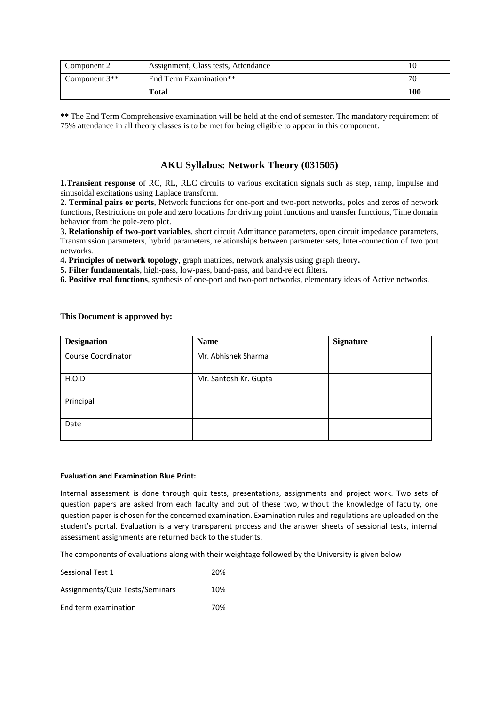| Component 2     | Assignment, Class tests, Attendance |     |
|-----------------|-------------------------------------|-----|
| Component $3**$ | End Term Examination**              | 70  |
|                 | Total                               | 100 |

**\*\*** The End Term Comprehensive examination will be held at the end of semester. The mandatory requirement of 75% attendance in all theory classes is to be met for being eligible to appear in this component.

#### **AKU Syllabus: Network Theory (031505)**

**1.Transient response** of RC, RL, RLC circuits to various excitation signals such as step, ramp, impulse and sinusoidal excitations using Laplace transform.

**2. Terminal pairs or ports**, Network functions for one-port and two-port networks, poles and zeros of network functions, Restrictions on pole and zero locations for driving point functions and transfer functions, Time domain behavior from the pole-zero plot.

**3. Relationship of two-port variables**, short circuit Admittance parameters, open circuit impedance parameters, Transmission parameters, hybrid parameters, relationships between parameter sets, Inter-connection of two port networks.

**4. Principles of network topology**, graph matrices, network analysis using graph theory**.**

**5. Filter fundamentals**, high-pass, low-pass, band-pass, and band-reject filters**.** 

**6. Positive real functions**, synthesis of one-port and two-port networks, elementary ideas of Active networks.

| <b>Designation</b> | <b>Name</b>           | <b>Signature</b> |
|--------------------|-----------------------|------------------|
| Course Coordinator | Mr. Abhishek Sharma   |                  |
| H.O.D              | Mr. Santosh Kr. Gupta |                  |
| Principal          |                       |                  |
| Date               |                       |                  |

#### **This Document is approved by:**

#### **Evaluation and Examination Blue Print:**

Internal assessment is done through quiz tests, presentations, assignments and project work. Two sets of question papers are asked from each faculty and out of these two, without the knowledge of faculty, one question paper is chosen for the concerned examination. Examination rules and regulations are uploaded on the student's portal. Evaluation is a very transparent process and the answer sheets of sessional tests, internal assessment assignments are returned back to the students.

The components of evaluations along with their weightage followed by the University is given below

| Sessional Test 1                | 20% |
|---------------------------------|-----|
| Assignments/Quiz Tests/Seminars | 10% |
| End term examination            | 70% |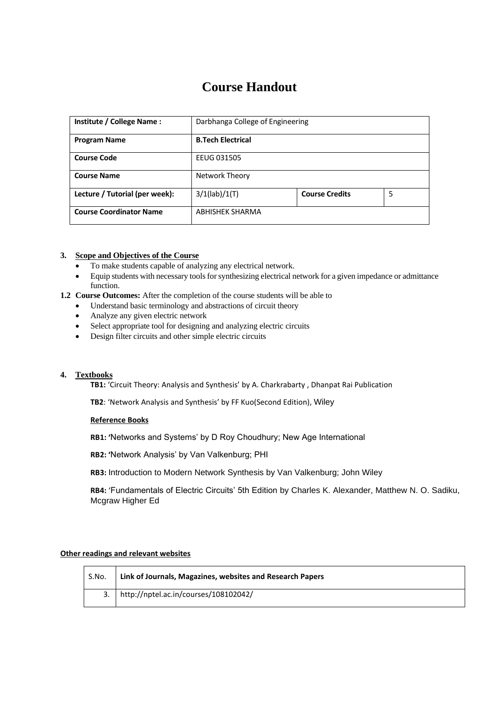# **Course Handout**

| Institute / College Name:      | Darbhanga College of Engineering |                       |   |  |  |
|--------------------------------|----------------------------------|-----------------------|---|--|--|
| <b>Program Name</b>            | <b>B.Tech Electrical</b>         |                       |   |  |  |
| <b>Course Code</b>             | EEUG 031505                      |                       |   |  |  |
| <b>Course Name</b>             | Network Theory                   |                       |   |  |  |
| Lecture / Tutorial (per week): | $3/1$ (lab)/ $1(T)$              | <b>Course Credits</b> | 5 |  |  |
| <b>Course Coordinator Name</b> | ABHISHEK SHARMA                  |                       |   |  |  |

#### **3. Scope and Objectives of the Course**

- To make students capable of analyzing any electrical network.
- Equip students with necessary tools for synthesizing electrical network for a given impedance or admittance function.

#### **1.2 Course Outcomes:** After the completion of the course students will be able to

- Understand basic terminology and abstractions of circuit theory
- Analyze any given electric network
- Select appropriate tool for designing and analyzing electric circuits
- Design filter circuits and other simple electric circuits

#### **4. Textbooks**

**TB1:** 'Circuit Theory: Analysis and Synthesis' by A. Charkrabarty , Dhanpat Rai Publication

**TB2**: 'Network Analysis and Synthesis' by FF Kuo(Second Edition), Wiley

#### **Reference Books**

**RB1: '**Networks and Systems' by D Roy Choudhury; New Age International

**RB2: '**Network Analysis' by Van Valkenburg; PHI

**RB3:** Introduction to Modern Network Synthesis by Van Valkenburg; John Wiley

**RB4:** 'Fundamentals of Electric Circuits' 5th Edition by Charles K. Alexander, Matthew N. O. Sadiku, Mcgraw Higher Ed

#### **Other readings and relevant websites**

| S.No. | Link of Journals, Magazines, websites and Research Papers |
|-------|-----------------------------------------------------------|
|       | http://nptel.ac.in/courses/108102042/                     |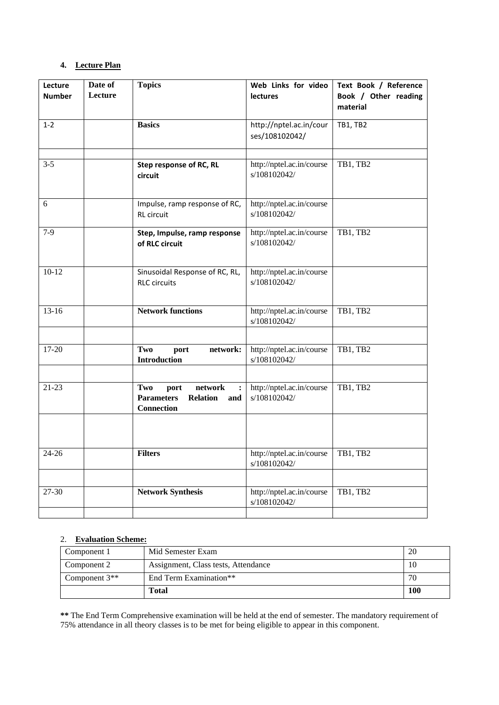#### **4. Lecture Plan**

| Lecture<br><b>Number</b> | Date of<br>Lecture | <b>Topics</b>                                                                              | Web Links for video<br><b>lectures</b>    | Text Book / Reference<br>Book / Other reading<br>material |
|--------------------------|--------------------|--------------------------------------------------------------------------------------------|-------------------------------------------|-----------------------------------------------------------|
| $1 - 2$                  |                    | <b>Basics</b>                                                                              | http://nptel.ac.in/cour<br>ses/108102042/ | <b>TB1, TB2</b>                                           |
| $3 - 5$                  |                    | Step response of RC, RL<br>circuit                                                         | http://nptel.ac.in/course<br>s/108102042/ | TB1, TB2                                                  |
| 6                        |                    | Impulse, ramp response of RC,<br>RL circuit                                                | http://nptel.ac.in/course<br>s/108102042/ |                                                           |
| $7-9$                    |                    | Step, Impulse, ramp response<br>of RLC circuit                                             | http://nptel.ac.in/course<br>s/108102042/ | TB1, TB2                                                  |
| $10 - 12$                |                    | Sinusoidal Response of RC, RL,<br><b>RLC</b> circuits                                      | http://nptel.ac.in/course<br>s/108102042/ |                                                           |
| $13-16$                  |                    | <b>Network functions</b>                                                                   | http://nptel.ac.in/course<br>s/108102042/ | TB1, TB2                                                  |
| 17-20                    |                    | Two<br>network:<br>port<br><b>Introduction</b>                                             | http://nptel.ac.in/course<br>s/108102042/ | TB1, TB2                                                  |
| $21-23$                  |                    | network<br>Two<br>port<br><b>Parameters</b><br><b>Relation</b><br>and<br><b>Connection</b> | http://nptel.ac.in/course<br>s/108102042/ | TB1, TB2                                                  |
| $24 - 26$                |                    | <b>Filters</b>                                                                             | http://nptel.ac.in/course<br>s/108102042/ | TB1, TB2                                                  |
| 27-30                    |                    | <b>Network Synthesis</b>                                                                   | http://nptel.ac.in/course<br>s/108102042/ | TB1, TB2                                                  |

### 2. **Evaluation Scheme:**

| Component 1     | Mid Semester Exam                   | 20  |
|-----------------|-------------------------------------|-----|
| Component 2     | Assignment, Class tests, Attendance | 10  |
| Component $3**$ | End Term Examination**              | 70  |
|                 | Total                               | 100 |

**\*\*** The End Term Comprehensive examination will be held at the end of semester. The mandatory requirement of 75% attendance in all theory classes is to be met for being eligible to appear in this component.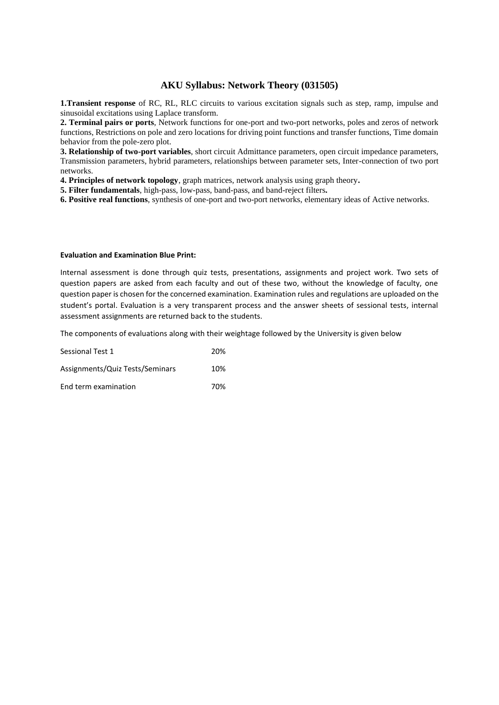#### **AKU Syllabus: Network Theory (031505)**

**1.Transient response** of RC, RL, RLC circuits to various excitation signals such as step, ramp, impulse and sinusoidal excitations using Laplace transform.

**2. Terminal pairs or ports**, Network functions for one-port and two-port networks, poles and zeros of network functions, Restrictions on pole and zero locations for driving point functions and transfer functions, Time domain behavior from the pole-zero plot.

**3. Relationship of two-port variables**, short circuit Admittance parameters, open circuit impedance parameters, Transmission parameters, hybrid parameters, relationships between parameter sets, Inter-connection of two port networks.

**4. Principles of network topology**, graph matrices, network analysis using graph theory**.**

**5. Filter fundamentals**, high-pass, low-pass, band-pass, and band-reject filters**.** 

**6. Positive real functions**, synthesis of one-port and two-port networks, elementary ideas of Active networks.

#### **Evaluation and Examination Blue Print:**

Internal assessment is done through quiz tests, presentations, assignments and project work. Two sets of question papers are asked from each faculty and out of these two, without the knowledge of faculty, one question paper is chosen for the concerned examination. Examination rules and regulations are uploaded on the student's portal. Evaluation is a very transparent process and the answer sheets of sessional tests, internal assessment assignments are returned back to the students.

The components of evaluations along with their weightage followed by the University is given below

| Sessional Test 1                | 20% |
|---------------------------------|-----|
| Assignments/Quiz Tests/Seminars | 10% |
| End term examination            | 70% |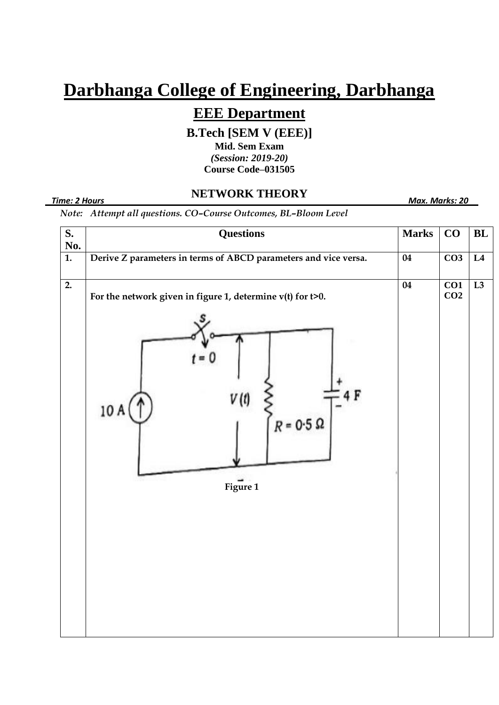# **Darbhanga College of Engineering, Darbhanga**

# **EEE Department**

**B.Tech [SEM V (EEE)]**

**Mid. Sem Exam** *(Session: 2019-20)* **Course Code–031505**

#### *Time: 2 Hours Max. Marks: 20*

# **NETWORK THEORY**

*Note: Attempt all questions. CO–Course Outcomes, BL–Bloom Level*

| S.<br>No.        | <b>Questions</b>                                                                                  |                 | CO                                  | $\mathbf{BL}$ |
|------------------|---------------------------------------------------------------------------------------------------|-----------------|-------------------------------------|---------------|
| $\overline{1}$ . | Derive Z parameters in terms of ABCD parameters and vice versa.                                   | 04              | $\overline{CO3}$                    | L4            |
| $\overline{2}$ . | For the network given in figure 1, determine $v(t)$ for t>0.<br>$\mathfrak{m}$<br>10A<br>Figure 1 | $\overline{04}$ | $\overline{CO1}$<br>CO <sub>2</sub> | L3            |